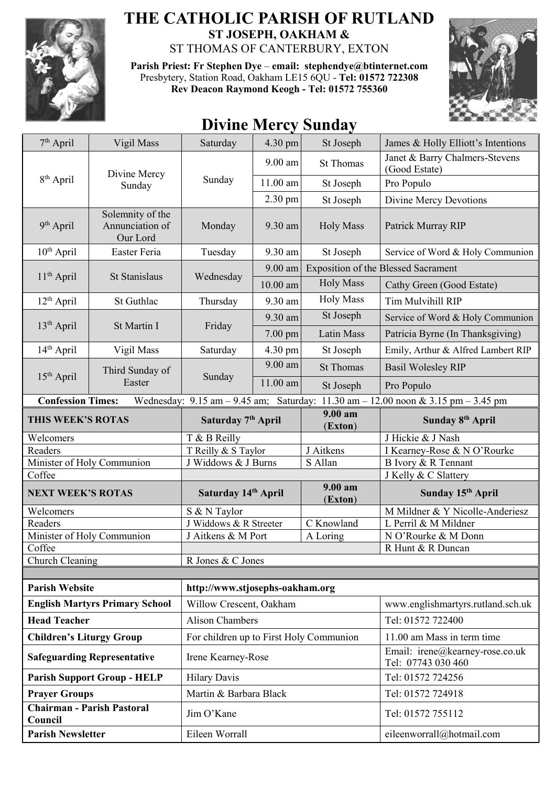

## **THE CATHOLIC PARISH OF RUTLAND ST JOSEPH, OAKHAM &**  ST THOMAS OF CANTERBURY, EXTON

**Parish Priest: Fr Stephen Dye** – **[email: stephendye@btinternet.com](mailto:email:%20%20stephendye@btinternet.com)** Presbytery, Station Road, Oakham LE15 6QU - **Tel: 01572 722308 Rev Deacon Raymond Keogh - Tel: 01572 755360**



## **Divine Mercy Sunday**

| $7th$ April                                                                                                   | Vigil Mass                                      | Saturday                                                   | 4.30 pm    | St Joseph          | James & Holly Elliott's Intentions                    |  |
|---------------------------------------------------------------------------------------------------------------|-------------------------------------------------|------------------------------------------------------------|------------|--------------------|-------------------------------------------------------|--|
| 8 <sup>th</sup> April                                                                                         | Divine Mercy<br>Sunday                          | Sunday                                                     | $9.00$ am  | <b>St Thomas</b>   | Janet & Barry Chalmers-Stevens<br>(Good Estate)       |  |
|                                                                                                               |                                                 |                                                            | 11.00 am   | St Joseph          | Pro Populo                                            |  |
|                                                                                                               |                                                 |                                                            | 2.30 pm    | St Joseph          | Divine Mercy Devotions                                |  |
| 9 <sup>th</sup> April                                                                                         | Solemnity of the<br>Annunciation of<br>Our Lord | Monday                                                     | 9.30 am    | <b>Holy Mass</b>   | Patrick Murray RIP                                    |  |
| 10 <sup>th</sup> April                                                                                        | Easter Feria                                    | Tuesday                                                    | 9.30 am    | St Joseph          | Service of Word & Holy Communion                      |  |
| $11th$ April                                                                                                  | St Stanislaus                                   | Wednesday                                                  | 9.00 am    |                    | <b>Exposition of the Blessed Sacrament</b>            |  |
|                                                                                                               |                                                 |                                                            | $10.00$ am | <b>Holy Mass</b>   | Cathy Green (Good Estate)                             |  |
| $12th$ April                                                                                                  | St Guthlac                                      | Thursday                                                   | 9.30 am    | <b>Holy Mass</b>   | Tim Mulvihill RIP                                     |  |
| 13 <sup>th</sup> April                                                                                        | St Martin I                                     | Friday                                                     | 9.30 am    | St Joseph          | Service of Word & Holy Communion                      |  |
|                                                                                                               |                                                 |                                                            | $7.00$ pm  | Latin Mass         | Patricia Byrne (In Thanksgiving)                      |  |
| 14 <sup>th</sup> April                                                                                        | Vigil Mass                                      | Saturday                                                   | 4.30 pm    | St Joseph          | Emily, Arthur & Alfred Lambert RIP                    |  |
|                                                                                                               | Third Sunday of<br>Easter                       | Sunday                                                     | 9.00 am    | <b>St Thomas</b>   | <b>Basil Wolesley RIP</b>                             |  |
| $15th$ April                                                                                                  |                                                 |                                                            | 11.00 am   | St Joseph          | Pro Populo                                            |  |
| <b>Confession Times:</b><br>Wednesday: 9.15 am - 9.45 am; Saturday: 11.30 am - 12.00 noon & 3.15 pm - 3.45 pm |                                                 |                                                            |            |                    |                                                       |  |
| THIS WEEK'S ROTAS                                                                                             |                                                 | Saturday 7 <sup>th</sup> April                             |            | 9.00 am<br>(Exton) | Sunday 8 <sup>th</sup> April                          |  |
| Welcomers                                                                                                     |                                                 | T & B Reilly                                               |            |                    | J Hickie & J Nash                                     |  |
| Readers                                                                                                       |                                                 | T Reilly & S Taylor                                        |            | J Aitkens          | I Kearney-Rose & N O'Rourke                           |  |
| Minister of Holy Communion                                                                                    |                                                 | J Widdows & J Burns                                        |            | S Allan            | B Ivory & R Tennant                                   |  |
| Coffee                                                                                                        |                                                 |                                                            |            | 9.00 am            | J Kelly & C Slattery                                  |  |
| <b>NEXT WEEK'S ROTAS</b>                                                                                      |                                                 | Saturday 14th April                                        |            | (Exton)            | Sunday 15 <sup>th</sup> April                         |  |
| Welcomers                                                                                                     |                                                 | S & N Taylor                                               |            |                    | M Mildner & Y Nicolle-Anderiesz                       |  |
| Readers                                                                                                       |                                                 | J Widdows & R Streeter                                     |            | C Knowland         | L Perril & M Mildner                                  |  |
| Minister of Holy Communion                                                                                    |                                                 | J Aitkens & M Port<br>A Loring                             |            |                    | N O'Rourke & M Donn                                   |  |
| Coffee                                                                                                        |                                                 |                                                            |            |                    | R Hunt & R Duncan                                     |  |
| Church Cleaning                                                                                               |                                                 | R Jones & C Jones                                          |            |                    |                                                       |  |
| <b>Parish Website</b>                                                                                         |                                                 |                                                            |            |                    |                                                       |  |
| <b>English Martyrs Primary School</b>                                                                         |                                                 | http://www.stjosephs-oakham.org<br>Willow Crescent, Oakham |            |                    | www.englishmartyrs.rutland.sch.uk                     |  |
| <b>Head Teacher</b>                                                                                           |                                                 | <b>Alison Chambers</b>                                     |            |                    | Tel: 01572 722400                                     |  |
| <b>Children's Liturgy Group</b>                                                                               |                                                 | For children up to First Holy Communion                    |            |                    | 11.00 am Mass in term time                            |  |
| <b>Safeguarding Representative</b>                                                                            |                                                 | Irene Kearney-Rose                                         |            |                    | Email: irene@kearney-rose.co.uk<br>Tel: 07743 030 460 |  |
| <b>Parish Support Group - HELP</b>                                                                            |                                                 | <b>Hilary Davis</b>                                        |            |                    | Tel: 01572 724256                                     |  |
| <b>Prayer Groups</b>                                                                                          |                                                 | Martin & Barbara Black                                     |            |                    | Tel: 01572 724918                                     |  |
| <b>Chairman - Parish Pastoral</b><br>Council                                                                  |                                                 | Jim O'Kane                                                 |            |                    | Tel: 01572 755112                                     |  |
| <b>Parish Newsletter</b>                                                                                      |                                                 | Eileen Worrall                                             |            |                    | eileenworrall@hotmail.com                             |  |